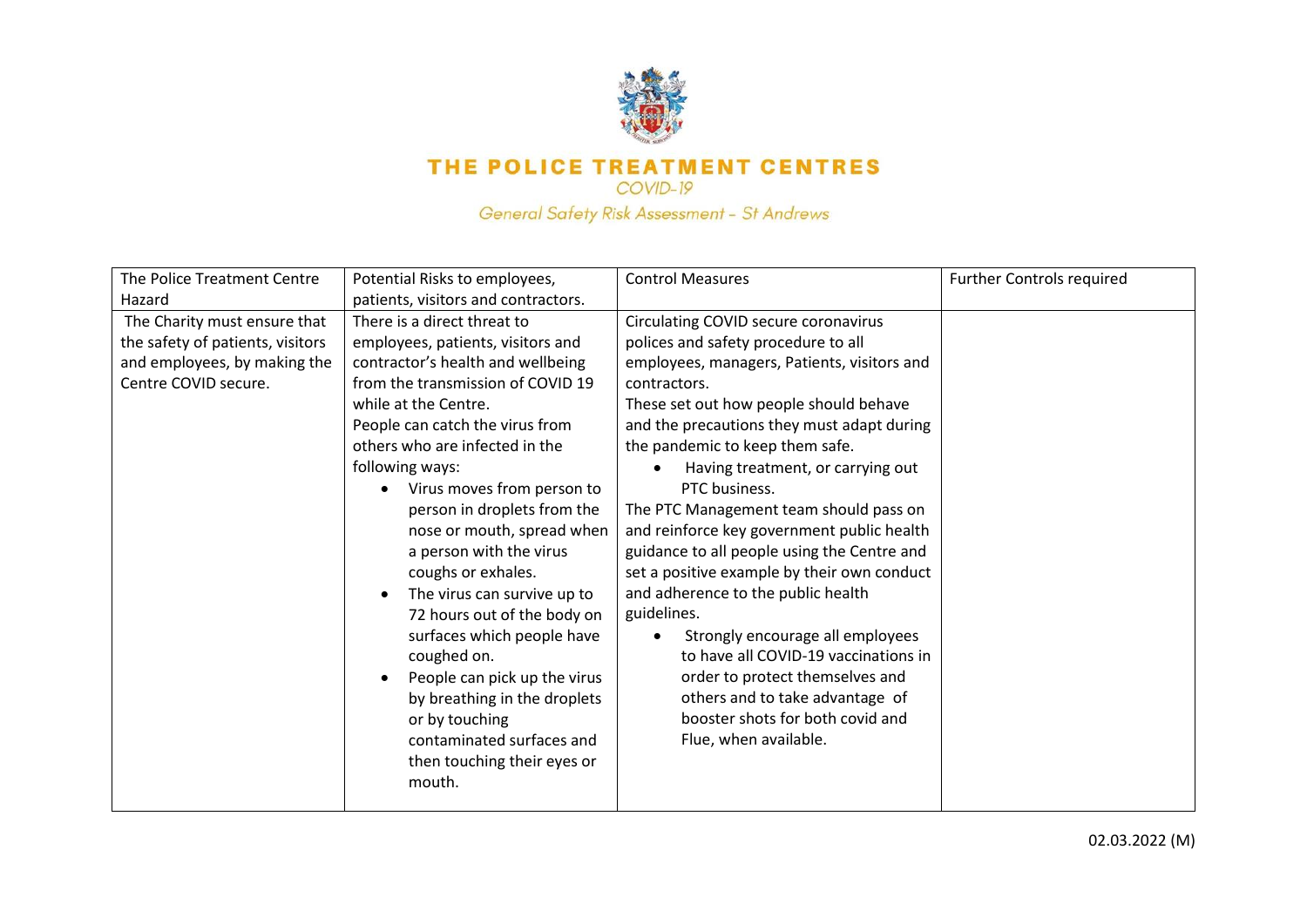

## THE POLICE TREATMENT CENTRES

COVID-19

General Safety Risk Assessment - St Andrews

| The Police Treatment Centre                                                                                              | Potential Risks to employees,                                                                                                                                                                                                                                                                                                                                                                                                                                                                                                                                                                                                                                                          | <b>Control Measures</b>                                                                                                                                                                                                                                                                                                                                                                                                                                                                                                                                                                                                                                                                                                                                                               | <b>Further Controls required</b> |
|--------------------------------------------------------------------------------------------------------------------------|----------------------------------------------------------------------------------------------------------------------------------------------------------------------------------------------------------------------------------------------------------------------------------------------------------------------------------------------------------------------------------------------------------------------------------------------------------------------------------------------------------------------------------------------------------------------------------------------------------------------------------------------------------------------------------------|---------------------------------------------------------------------------------------------------------------------------------------------------------------------------------------------------------------------------------------------------------------------------------------------------------------------------------------------------------------------------------------------------------------------------------------------------------------------------------------------------------------------------------------------------------------------------------------------------------------------------------------------------------------------------------------------------------------------------------------------------------------------------------------|----------------------------------|
| Hazard                                                                                                                   | patients, visitors and contractors.                                                                                                                                                                                                                                                                                                                                                                                                                                                                                                                                                                                                                                                    |                                                                                                                                                                                                                                                                                                                                                                                                                                                                                                                                                                                                                                                                                                                                                                                       |                                  |
| The Charity must ensure that<br>the safety of patients, visitors<br>and employees, by making the<br>Centre COVID secure. | There is a direct threat to<br>employees, patients, visitors and<br>contractor's health and wellbeing<br>from the transmission of COVID 19<br>while at the Centre.<br>People can catch the virus from<br>others who are infected in the<br>following ways:<br>Virus moves from person to<br>person in droplets from the<br>nose or mouth, spread when<br>a person with the virus<br>coughs or exhales.<br>The virus can survive up to<br>$\bullet$<br>72 hours out of the body on<br>surfaces which people have<br>coughed on.<br>People can pick up the virus<br>by breathing in the droplets<br>or by touching<br>contaminated surfaces and<br>then touching their eyes or<br>mouth. | Circulating COVID secure coronavirus<br>polices and safety procedure to all<br>employees, managers, Patients, visitors and<br>contractors.<br>These set out how people should behave<br>and the precautions they must adapt during<br>the pandemic to keep them safe.<br>Having treatment, or carrying out<br>PTC business.<br>The PTC Management team should pass on<br>and reinforce key government public health<br>guidance to all people using the Centre and<br>set a positive example by their own conduct<br>and adherence to the public health<br>guidelines.<br>Strongly encourage all employees<br>to have all COVID-19 vaccinations in<br>order to protect themselves and<br>others and to take advantage of<br>booster shots for both covid and<br>Flue, when available. |                                  |
|                                                                                                                          |                                                                                                                                                                                                                                                                                                                                                                                                                                                                                                                                                                                                                                                                                        |                                                                                                                                                                                                                                                                                                                                                                                                                                                                                                                                                                                                                                                                                                                                                                                       |                                  |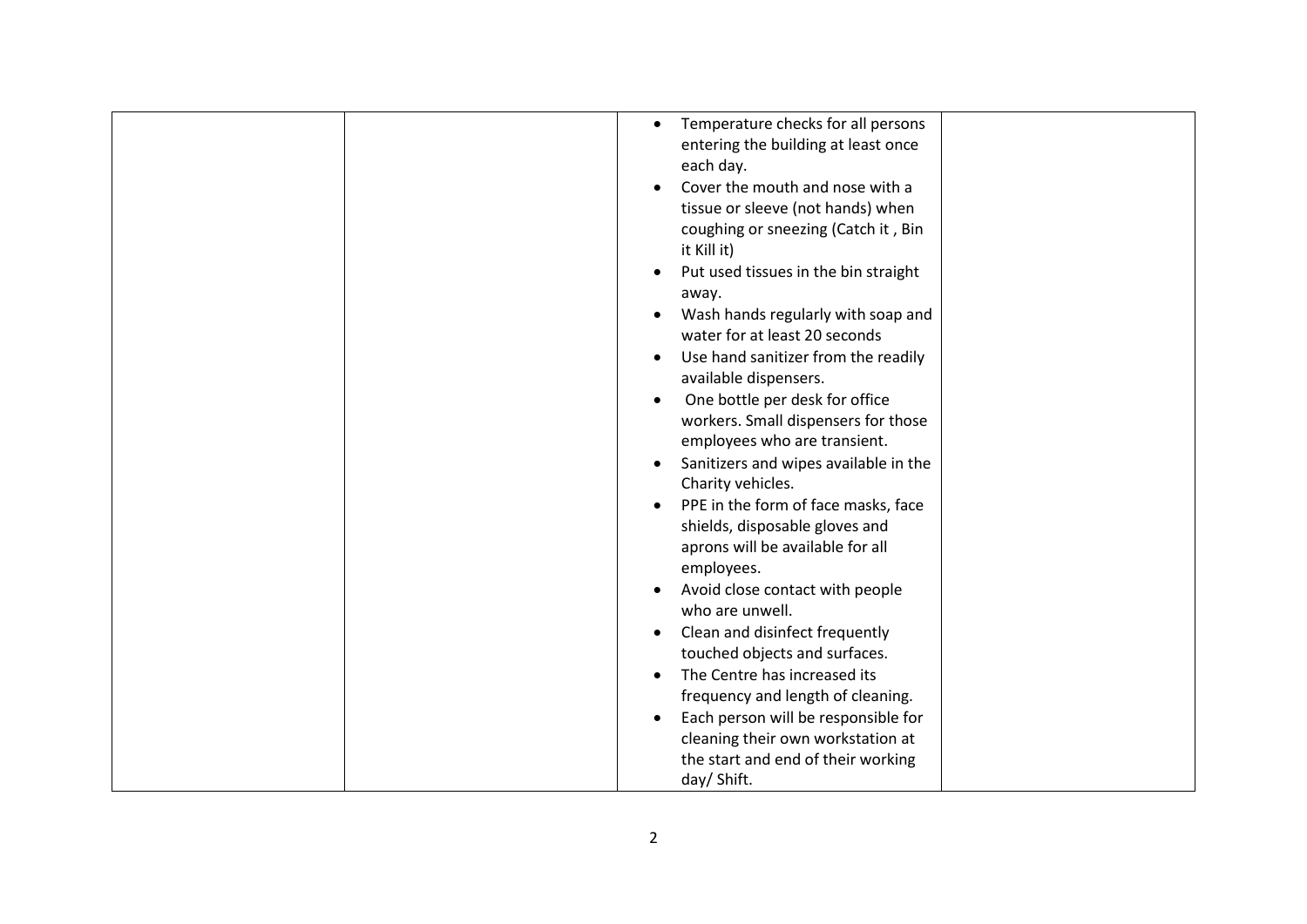| Temperature checks for all persons<br>$\bullet$<br>entering the building at least once<br>each day.<br>Cover the mouth and nose with a<br>tissue or sleeve (not hands) when<br>coughing or sneezing (Catch it, Bin<br>it Kill it)<br>Put used tissues in the bin straight<br>away.<br>Wash hands regularly with soap and<br>water for at least 20 seconds<br>Use hand sanitizer from the readily<br>available dispensers.<br>One bottle per desk for office<br>workers. Small dispensers for those<br>employees who are transient.<br>Sanitizers and wipes available in the<br>Charity vehicles.<br>PPE in the form of face masks, face<br>$\bullet$<br>shields, disposable gloves and |  |
|----------------------------------------------------------------------------------------------------------------------------------------------------------------------------------------------------------------------------------------------------------------------------------------------------------------------------------------------------------------------------------------------------------------------------------------------------------------------------------------------------------------------------------------------------------------------------------------------------------------------------------------------------------------------------------------|--|
| aprons will be available for all<br>employees.<br>Avoid close contact with people<br>who are unwell.<br>Clean and disinfect frequently<br>$\bullet$<br>touched objects and surfaces.                                                                                                                                                                                                                                                                                                                                                                                                                                                                                                   |  |
|                                                                                                                                                                                                                                                                                                                                                                                                                                                                                                                                                                                                                                                                                        |  |
| The Centre has increased its<br>frequency and length of cleaning.<br>Each person will be responsible for<br>cleaning their own workstation at<br>the start and end of their working<br>day/ Shift.                                                                                                                                                                                                                                                                                                                                                                                                                                                                                     |  |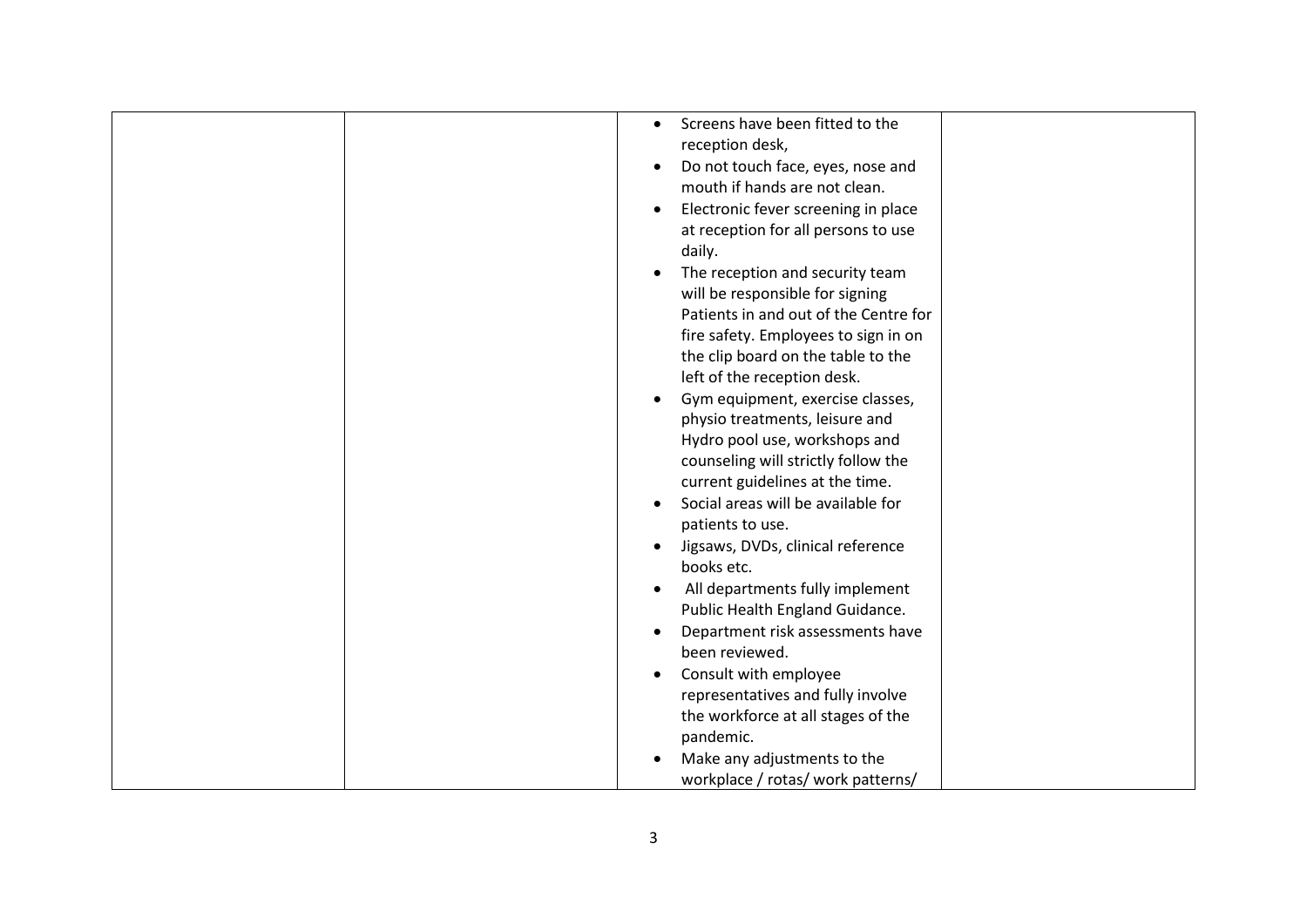| Screens have been fitted to the<br>$\bullet$<br>reception desk,<br>Do not touch face, eyes, nose and<br>٠ |
|-----------------------------------------------------------------------------------------------------------|
| mouth if hands are not clean.                                                                             |
| Electronic fever screening in place                                                                       |
| at reception for all persons to use                                                                       |
| daily.                                                                                                    |
| The reception and security team                                                                           |
| will be responsible for signing                                                                           |
| Patients in and out of the Centre for                                                                     |
| fire safety. Employees to sign in on                                                                      |
| the clip board on the table to the                                                                        |
| left of the reception desk.                                                                               |
| Gym equipment, exercise classes,                                                                          |
| physio treatments, leisure and                                                                            |
| Hydro pool use, workshops and                                                                             |
| counseling will strictly follow the                                                                       |
| current guidelines at the time.                                                                           |
| Social areas will be available for                                                                        |
| patients to use.                                                                                          |
| Jigsaws, DVDs, clinical reference                                                                         |
| books etc.                                                                                                |
| All departments fully implement<br>$\bullet$                                                              |
| Public Health England Guidance.                                                                           |
| Department risk assessments have                                                                          |
| been reviewed.                                                                                            |
| Consult with employee                                                                                     |
| representatives and fully involve                                                                         |
| the workforce at all stages of the                                                                        |
| pandemic.                                                                                                 |
| Make any adjustments to the                                                                               |
| workplace / rotas/ work patterns/                                                                         |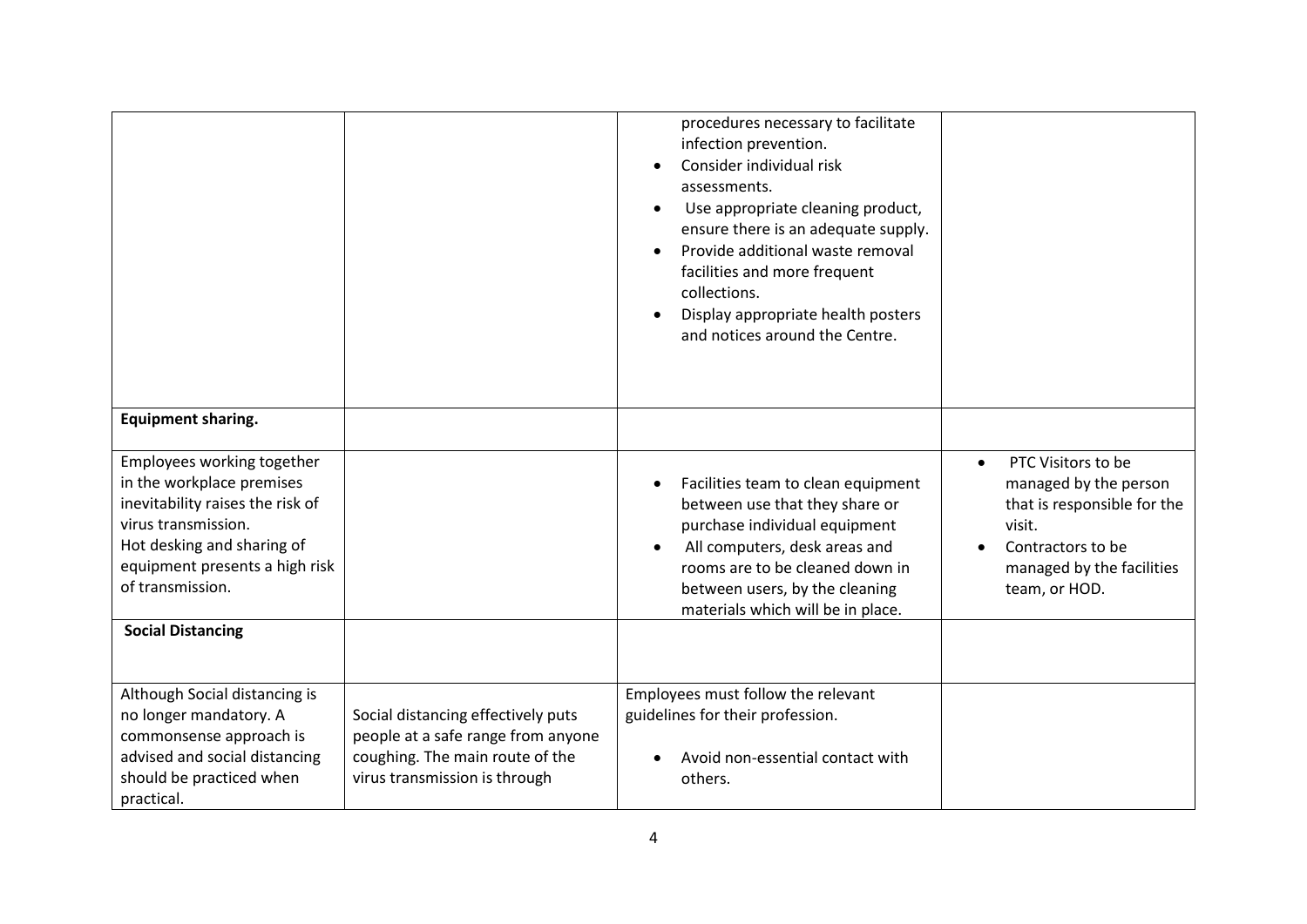|                                                                                                                                                                                                        |                                                                                                                                              | procedures necessary to facilitate<br>infection prevention.<br>Consider individual risk<br>assessments.<br>Use appropriate cleaning product,<br>$\bullet$<br>ensure there is an adequate supply.<br>Provide additional waste removal<br>facilities and more frequent<br>collections.<br>Display appropriate health posters<br>and notices around the Centre. |                                                                                                                                                                      |
|--------------------------------------------------------------------------------------------------------------------------------------------------------------------------------------------------------|----------------------------------------------------------------------------------------------------------------------------------------------|--------------------------------------------------------------------------------------------------------------------------------------------------------------------------------------------------------------------------------------------------------------------------------------------------------------------------------------------------------------|----------------------------------------------------------------------------------------------------------------------------------------------------------------------|
| <b>Equipment sharing.</b>                                                                                                                                                                              |                                                                                                                                              |                                                                                                                                                                                                                                                                                                                                                              |                                                                                                                                                                      |
| Employees working together<br>in the workplace premises<br>inevitability raises the risk of<br>virus transmission.<br>Hot desking and sharing of<br>equipment presents a high risk<br>of transmission. |                                                                                                                                              | Facilities team to clean equipment<br>$\bullet$<br>between use that they share or<br>purchase individual equipment<br>All computers, desk areas and<br>rooms are to be cleaned down in<br>between users, by the cleaning<br>materials which will be in place.                                                                                                | PTC Visitors to be<br>$\bullet$<br>managed by the person<br>that is responsible for the<br>visit.<br>Contractors to be<br>managed by the facilities<br>team, or HOD. |
| <b>Social Distancing</b>                                                                                                                                                                               |                                                                                                                                              |                                                                                                                                                                                                                                                                                                                                                              |                                                                                                                                                                      |
|                                                                                                                                                                                                        |                                                                                                                                              |                                                                                                                                                                                                                                                                                                                                                              |                                                                                                                                                                      |
| Although Social distancing is<br>no longer mandatory. A<br>commonsense approach is<br>advised and social distancing<br>should be practiced when<br>practical.                                          | Social distancing effectively puts<br>people at a safe range from anyone<br>coughing. The main route of the<br>virus transmission is through | Employees must follow the relevant<br>guidelines for their profession.<br>Avoid non-essential contact with<br>others.                                                                                                                                                                                                                                        |                                                                                                                                                                      |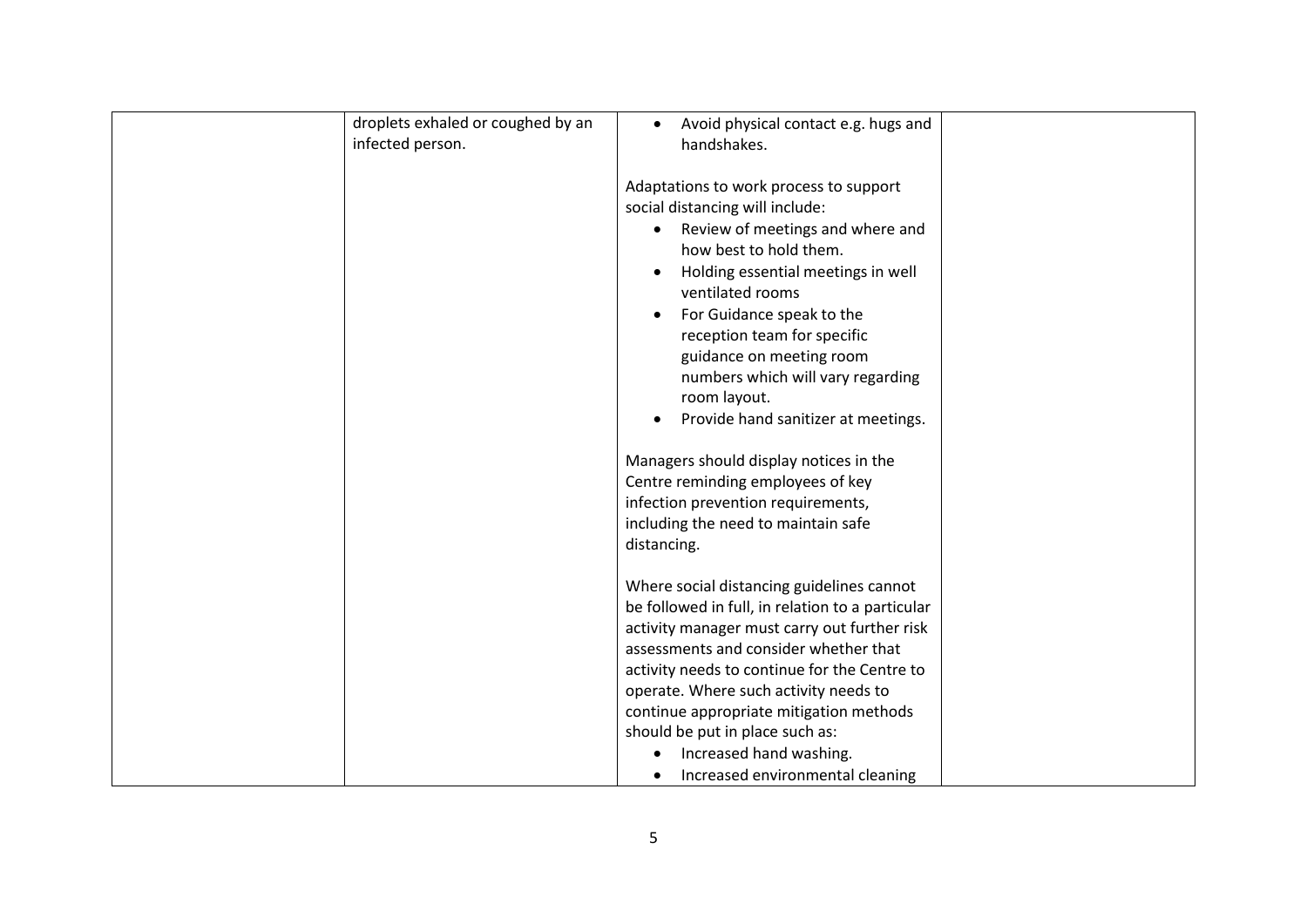| droplets exhaled or coughed by an<br>infected person. | Avoid physical contact e.g. hugs and<br>$\bullet$<br>handshakes.                                                                                                                                                                                                                                                                                                                                                                  |  |
|-------------------------------------------------------|-----------------------------------------------------------------------------------------------------------------------------------------------------------------------------------------------------------------------------------------------------------------------------------------------------------------------------------------------------------------------------------------------------------------------------------|--|
|                                                       | Adaptations to work process to support<br>social distancing will include:<br>Review of meetings and where and<br>$\bullet$<br>how best to hold them.<br>Holding essential meetings in well<br>ventilated rooms<br>For Guidance speak to the<br>reception team for specific<br>guidance on meeting room<br>numbers which will vary regarding<br>room layout.<br>Provide hand sanitizer at meetings.                                |  |
|                                                       | Managers should display notices in the<br>Centre reminding employees of key<br>infection prevention requirements,<br>including the need to maintain safe<br>distancing.                                                                                                                                                                                                                                                           |  |
|                                                       | Where social distancing guidelines cannot<br>be followed in full, in relation to a particular<br>activity manager must carry out further risk<br>assessments and consider whether that<br>activity needs to continue for the Centre to<br>operate. Where such activity needs to<br>continue appropriate mitigation methods<br>should be put in place such as:<br>Increased hand washing.<br>٠<br>Increased environmental cleaning |  |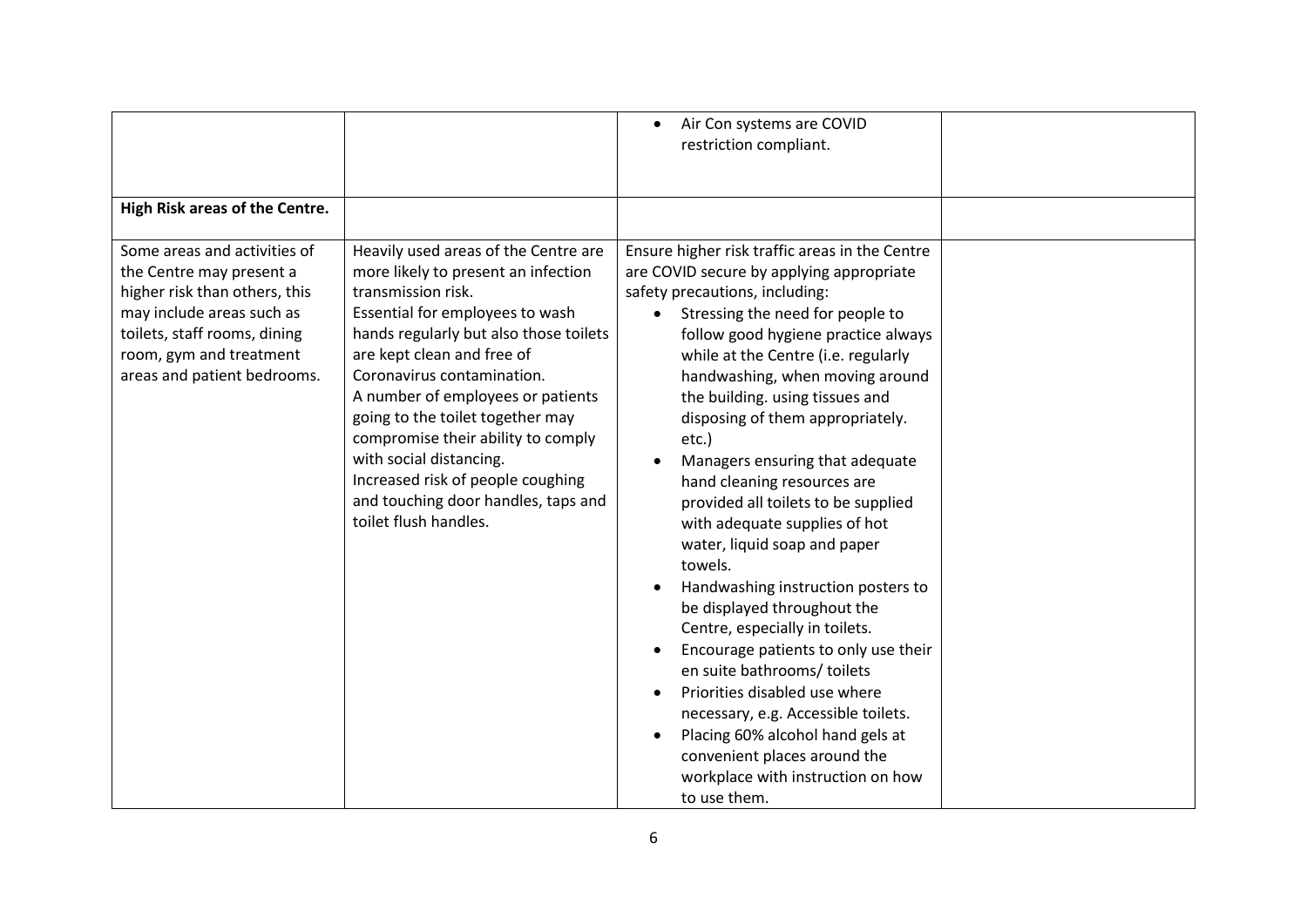| High Risk areas of the Centre.                                                                                                                                                                                   |                                                                                                                                                                                                                                                                                                                                                                                                                                                                                           | Air Con systems are COVID<br>$\bullet$<br>restriction compliant.                                                                                                                                                                                                                                                                                                                                                                                                                                                                                                                                                                                                                                                                                                                                                                                                                                                                      |  |
|------------------------------------------------------------------------------------------------------------------------------------------------------------------------------------------------------------------|-------------------------------------------------------------------------------------------------------------------------------------------------------------------------------------------------------------------------------------------------------------------------------------------------------------------------------------------------------------------------------------------------------------------------------------------------------------------------------------------|---------------------------------------------------------------------------------------------------------------------------------------------------------------------------------------------------------------------------------------------------------------------------------------------------------------------------------------------------------------------------------------------------------------------------------------------------------------------------------------------------------------------------------------------------------------------------------------------------------------------------------------------------------------------------------------------------------------------------------------------------------------------------------------------------------------------------------------------------------------------------------------------------------------------------------------|--|
| Some areas and activities of<br>the Centre may present a<br>higher risk than others, this<br>may include areas such as<br>toilets, staff rooms, dining<br>room, gym and treatment<br>areas and patient bedrooms. | Heavily used areas of the Centre are<br>more likely to present an infection<br>transmission risk.<br>Essential for employees to wash<br>hands regularly but also those toilets<br>are kept clean and free of<br>Coronavirus contamination.<br>A number of employees or patients<br>going to the toilet together may<br>compromise their ability to comply<br>with social distancing.<br>Increased risk of people coughing<br>and touching door handles, taps and<br>toilet flush handles. | Ensure higher risk traffic areas in the Centre<br>are COVID secure by applying appropriate<br>safety precautions, including:<br>Stressing the need for people to<br>follow good hygiene practice always<br>while at the Centre (i.e. regularly<br>handwashing, when moving around<br>the building. using tissues and<br>disposing of them appropriately.<br>etc.)<br>Managers ensuring that adequate<br>hand cleaning resources are<br>provided all toilets to be supplied<br>with adequate supplies of hot<br>water, liquid soap and paper<br>towels.<br>Handwashing instruction posters to<br>be displayed throughout the<br>Centre, especially in toilets.<br>Encourage patients to only use their<br>en suite bathrooms/ toilets<br>Priorities disabled use where<br>necessary, e.g. Accessible toilets.<br>Placing 60% alcohol hand gels at<br>convenient places around the<br>workplace with instruction on how<br>to use them. |  |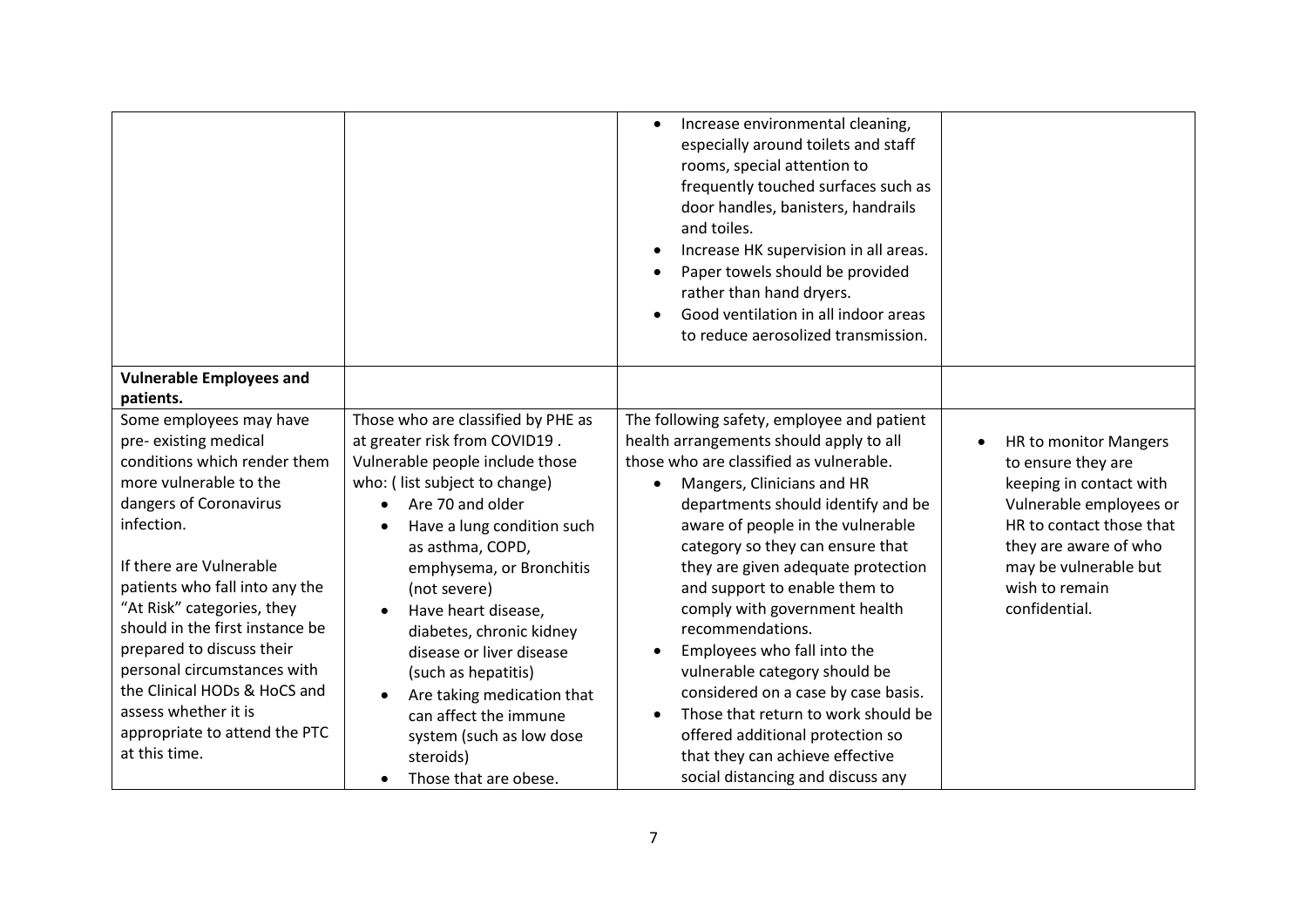|                                              |                                    | Increase environmental cleaning,<br>especially around toilets and staff<br>rooms, special attention to<br>frequently touched surfaces such as<br>door handles, banisters, handrails<br>and toiles.<br>Increase HK supervision in all areas.<br>$\bullet$<br>Paper towels should be provided<br>rather than hand dryers.<br>Good ventilation in all indoor areas<br>to reduce aerosolized transmission. |                            |
|----------------------------------------------|------------------------------------|--------------------------------------------------------------------------------------------------------------------------------------------------------------------------------------------------------------------------------------------------------------------------------------------------------------------------------------------------------------------------------------------------------|----------------------------|
| <b>Vulnerable Employees and</b><br>patients. |                                    |                                                                                                                                                                                                                                                                                                                                                                                                        |                            |
| Some employees may have                      | Those who are classified by PHE as | The following safety, employee and patient                                                                                                                                                                                                                                                                                                                                                             |                            |
| pre-existing medical                         | at greater risk from COVID19.      | health arrangements should apply to all                                                                                                                                                                                                                                                                                                                                                                | HR to monitor Mangers<br>٠ |
| conditions which render them                 | Vulnerable people include those    | those who are classified as vulnerable.                                                                                                                                                                                                                                                                                                                                                                | to ensure they are         |
| more vulnerable to the                       | who: (list subject to change)      | Mangers, Clinicians and HR                                                                                                                                                                                                                                                                                                                                                                             | keeping in contact with    |
| dangers of Coronavirus                       | Are 70 and older                   | departments should identify and be                                                                                                                                                                                                                                                                                                                                                                     | Vulnerable employees or    |
| infection.                                   | Have a lung condition such         | aware of people in the vulnerable                                                                                                                                                                                                                                                                                                                                                                      | HR to contact those that   |
|                                              | as asthma, COPD,                   | category so they can ensure that                                                                                                                                                                                                                                                                                                                                                                       | they are aware of who      |
| If there are Vulnerable                      | emphysema, or Bronchitis           | they are given adequate protection                                                                                                                                                                                                                                                                                                                                                                     | may be vulnerable but      |
| patients who fall into any the               | (not severe)                       | and support to enable them to                                                                                                                                                                                                                                                                                                                                                                          | wish to remain             |
| "At Risk" categories, they                   | Have heart disease,                | comply with government health                                                                                                                                                                                                                                                                                                                                                                          | confidential.              |
| should in the first instance be              | diabetes, chronic kidney           | recommendations.                                                                                                                                                                                                                                                                                                                                                                                       |                            |
| prepared to discuss their                    | disease or liver disease           | Employees who fall into the<br>$\bullet$                                                                                                                                                                                                                                                                                                                                                               |                            |
| personal circumstances with                  | (such as hepatitis)                | vulnerable category should be                                                                                                                                                                                                                                                                                                                                                                          |                            |
| the Clinical HODs & HoCS and                 | Are taking medication that         | considered on a case by case basis.                                                                                                                                                                                                                                                                                                                                                                    |                            |
| assess whether it is                         | can affect the immune              | Those that return to work should be                                                                                                                                                                                                                                                                                                                                                                    |                            |
| appropriate to attend the PTC                | system (such as low dose           | offered additional protection so                                                                                                                                                                                                                                                                                                                                                                       |                            |
| at this time.                                | steroids)                          | that they can achieve effective                                                                                                                                                                                                                                                                                                                                                                        |                            |
|                                              | Those that are obese.              | social distancing and discuss any                                                                                                                                                                                                                                                                                                                                                                      |                            |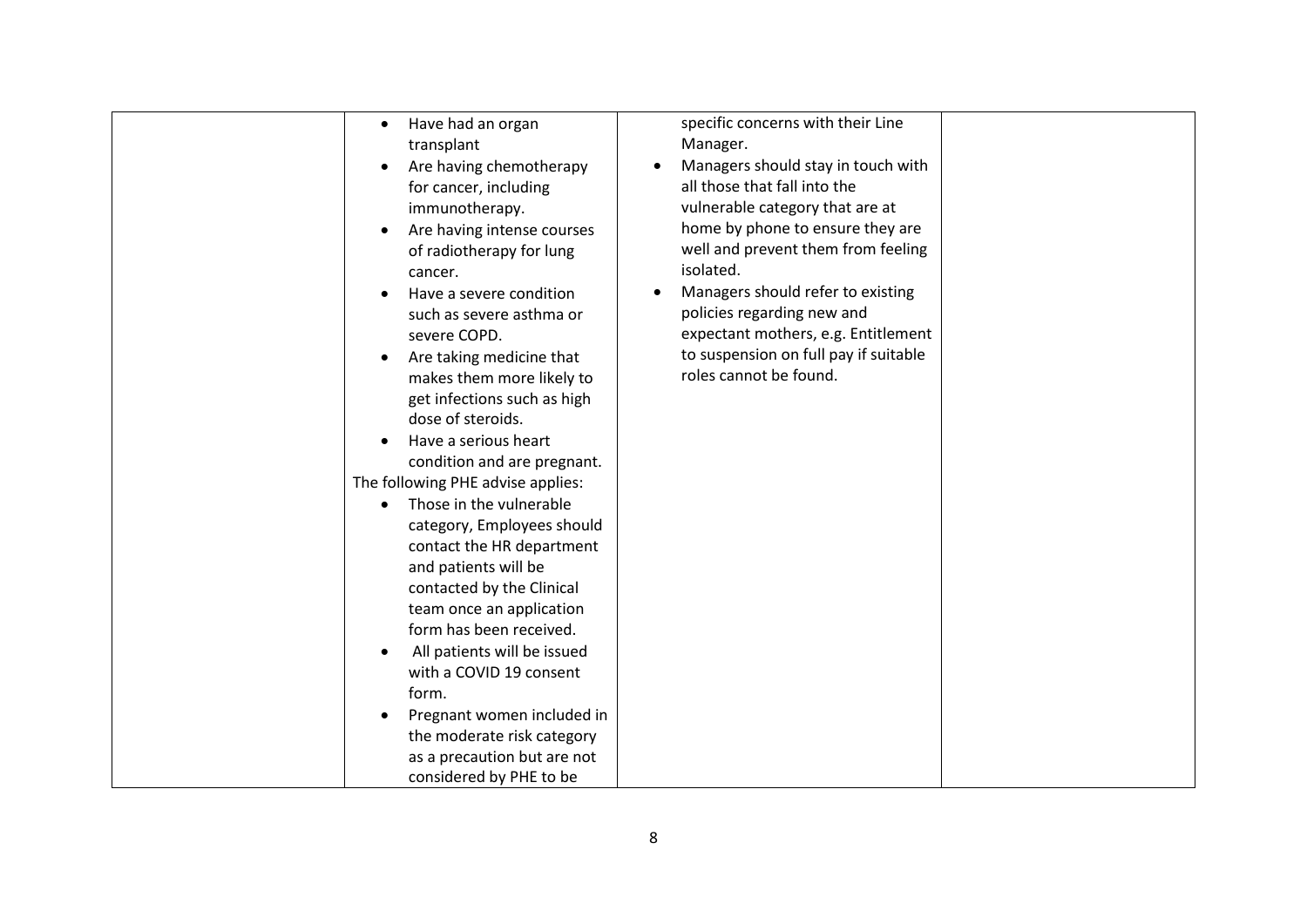| Have had an organ<br>$\bullet$<br>transplant<br>Are having chemotherapy<br>$\bullet$<br>for cancer, including                                                                                                                                                                               | specific concerns with their Line<br>Manager.<br>Managers should stay in touch with<br>all those that fall into the                                                                                                                                                                                 |
|---------------------------------------------------------------------------------------------------------------------------------------------------------------------------------------------------------------------------------------------------------------------------------------------|-----------------------------------------------------------------------------------------------------------------------------------------------------------------------------------------------------------------------------------------------------------------------------------------------------|
| immunotherapy.<br>Are having intense courses<br>$\bullet$<br>of radiotherapy for lung<br>cancer.<br>Have a severe condition<br>such as severe asthma or<br>severe COPD.<br>Are taking medicine that<br>$\bullet$<br>makes them more likely to<br>get infections such as high                | vulnerable category that are at<br>home by phone to ensure they are<br>well and prevent them from feeling<br>isolated.<br>Managers should refer to existing<br>policies regarding new and<br>expectant mothers, e.g. Entitlement<br>to suspension on full pay if suitable<br>roles cannot be found. |
| dose of steroids.<br>Have a serious heart<br>$\bullet$<br>condition and are pregnant.<br>The following PHE advise applies:                                                                                                                                                                  |                                                                                                                                                                                                                                                                                                     |
| Those in the vulnerable<br>$\bullet$<br>category, Employees should<br>contact the HR department<br>and patients will be<br>contacted by the Clinical<br>team once an application<br>form has been received.<br>All patients will be issued<br>$\bullet$<br>with a COVID 19 consent<br>form. |                                                                                                                                                                                                                                                                                                     |
| Pregnant women included in<br>٠<br>the moderate risk category<br>as a precaution but are not<br>considered by PHE to be                                                                                                                                                                     |                                                                                                                                                                                                                                                                                                     |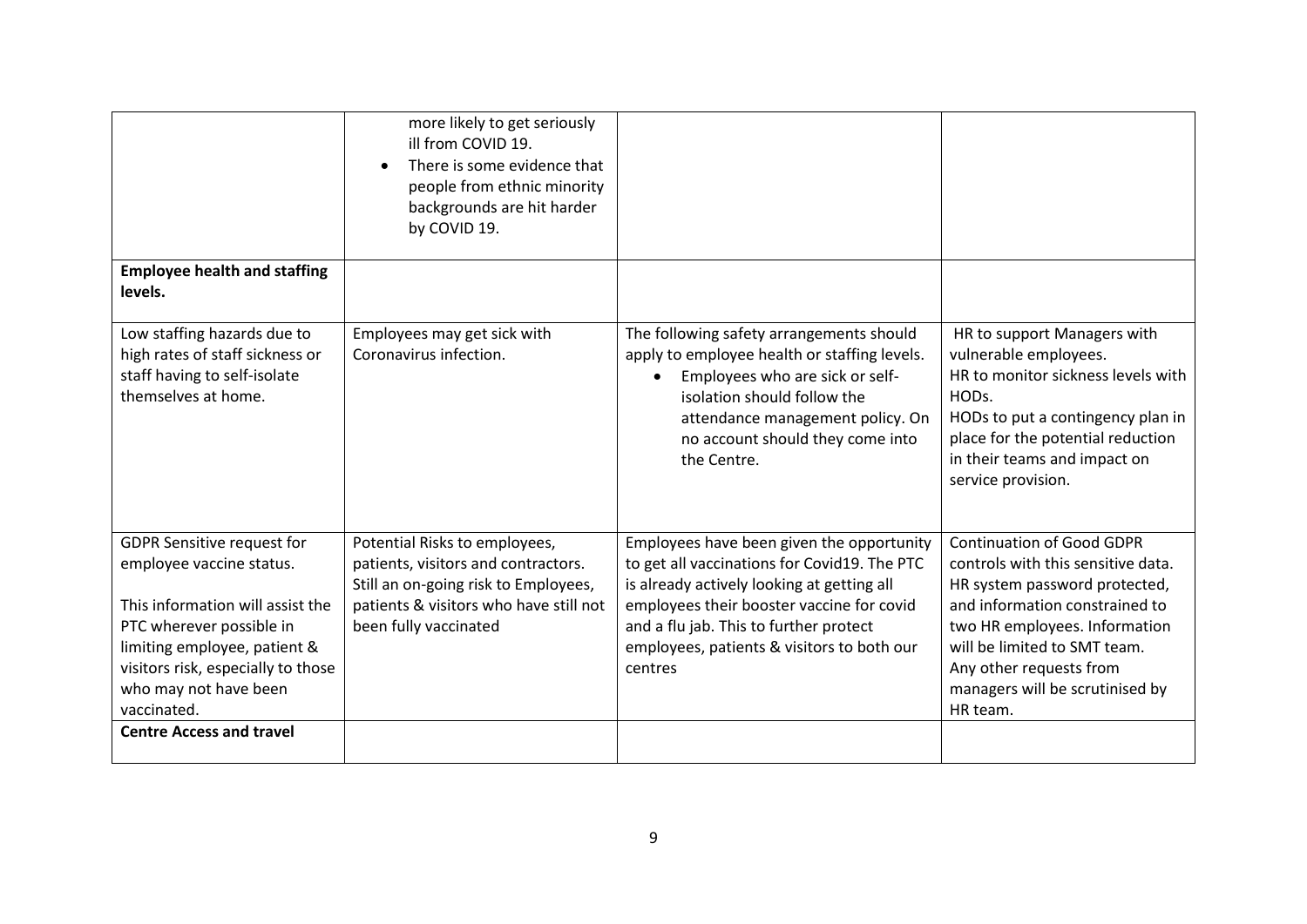|                                                                                                                                                                                                                                             | more likely to get seriously<br>ill from COVID 19.<br>There is some evidence that<br>people from ethnic minority<br>backgrounds are hit harder<br>by COVID 19.                  |                                                                                                                                                                                                                                                                                         |                                                                                                                                                                                                                                                                                      |
|---------------------------------------------------------------------------------------------------------------------------------------------------------------------------------------------------------------------------------------------|---------------------------------------------------------------------------------------------------------------------------------------------------------------------------------|-----------------------------------------------------------------------------------------------------------------------------------------------------------------------------------------------------------------------------------------------------------------------------------------|--------------------------------------------------------------------------------------------------------------------------------------------------------------------------------------------------------------------------------------------------------------------------------------|
| <b>Employee health and staffing</b><br>levels.                                                                                                                                                                                              |                                                                                                                                                                                 |                                                                                                                                                                                                                                                                                         |                                                                                                                                                                                                                                                                                      |
| Low staffing hazards due to<br>high rates of staff sickness or<br>staff having to self-isolate<br>themselves at home.                                                                                                                       | Employees may get sick with<br>Coronavirus infection.                                                                                                                           | The following safety arrangements should<br>apply to employee health or staffing levels.<br>Employees who are sick or self-<br>isolation should follow the<br>attendance management policy. On<br>no account should they come into<br>the Centre.                                       | HR to support Managers with<br>vulnerable employees.<br>HR to monitor sickness levels with<br>HODs.<br>HODs to put a contingency plan in<br>place for the potential reduction<br>in their teams and impact on<br>service provision.                                                  |
| <b>GDPR Sensitive request for</b><br>employee vaccine status.<br>This information will assist the<br>PTC wherever possible in<br>limiting employee, patient &<br>visitors risk, especially to those<br>who may not have been<br>vaccinated. | Potential Risks to employees,<br>patients, visitors and contractors.<br>Still an on-going risk to Employees,<br>patients & visitors who have still not<br>been fully vaccinated | Employees have been given the opportunity<br>to get all vaccinations for Covid19. The PTC<br>is already actively looking at getting all<br>employees their booster vaccine for covid<br>and a flu jab. This to further protect<br>employees, patients & visitors to both our<br>centres | <b>Continuation of Good GDPR</b><br>controls with this sensitive data.<br>HR system password protected,<br>and information constrained to<br>two HR employees. Information<br>will be limited to SMT team.<br>Any other requests from<br>managers will be scrutinised by<br>HR team. |
| <b>Centre Access and travel</b>                                                                                                                                                                                                             |                                                                                                                                                                                 |                                                                                                                                                                                                                                                                                         |                                                                                                                                                                                                                                                                                      |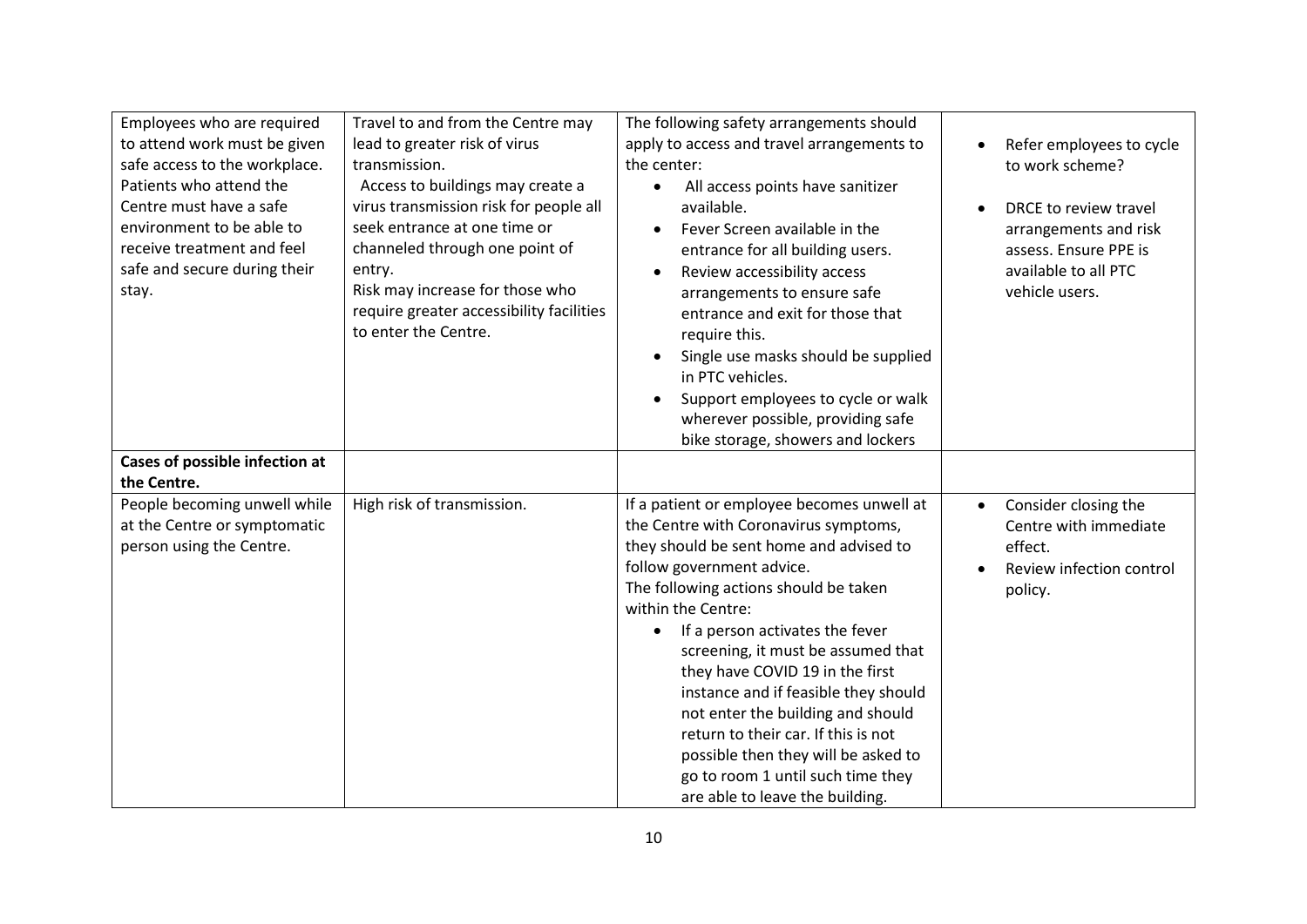| Employees who are required<br>to attend work must be given<br>safe access to the workplace.<br>Patients who attend the<br>Centre must have a safe<br>environment to be able to<br>receive treatment and feel<br>safe and secure during their<br>stay.<br>Cases of possible infection at<br>the Centre. | Travel to and from the Centre may<br>lead to greater risk of virus<br>transmission.<br>Access to buildings may create a<br>virus transmission risk for people all<br>seek entrance at one time or<br>channeled through one point of<br>entry.<br>Risk may increase for those who<br>require greater accessibility facilities<br>to enter the Centre. | The following safety arrangements should<br>apply to access and travel arrangements to<br>the center:<br>All access points have sanitizer<br>available.<br>Fever Screen available in the<br>$\bullet$<br>entrance for all building users.<br>Review accessibility access<br>$\bullet$<br>arrangements to ensure safe<br>entrance and exit for those that<br>require this.<br>Single use masks should be supplied<br>$\bullet$<br>in PTC vehicles.<br>Support employees to cycle or walk<br>wherever possible, providing safe<br>bike storage, showers and lockers         | Refer employees to cycle<br>to work scheme?<br>DRCE to review travel<br>arrangements and risk<br>assess. Ensure PPE is<br>available to all PTC<br>vehicle users. |
|--------------------------------------------------------------------------------------------------------------------------------------------------------------------------------------------------------------------------------------------------------------------------------------------------------|------------------------------------------------------------------------------------------------------------------------------------------------------------------------------------------------------------------------------------------------------------------------------------------------------------------------------------------------------|---------------------------------------------------------------------------------------------------------------------------------------------------------------------------------------------------------------------------------------------------------------------------------------------------------------------------------------------------------------------------------------------------------------------------------------------------------------------------------------------------------------------------------------------------------------------------|------------------------------------------------------------------------------------------------------------------------------------------------------------------|
| People becoming unwell while<br>at the Centre or symptomatic<br>person using the Centre.                                                                                                                                                                                                               | High risk of transmission.                                                                                                                                                                                                                                                                                                                           | If a patient or employee becomes unwell at<br>the Centre with Coronavirus symptoms,<br>they should be sent home and advised to<br>follow government advice.<br>The following actions should be taken<br>within the Centre:<br>If a person activates the fever<br>screening, it must be assumed that<br>they have COVID 19 in the first<br>instance and if feasible they should<br>not enter the building and should<br>return to their car. If this is not<br>possible then they will be asked to<br>go to room 1 until such time they<br>are able to leave the building. | Consider closing the<br>$\bullet$<br>Centre with immediate<br>effect.<br>Review infection control<br>policy.                                                     |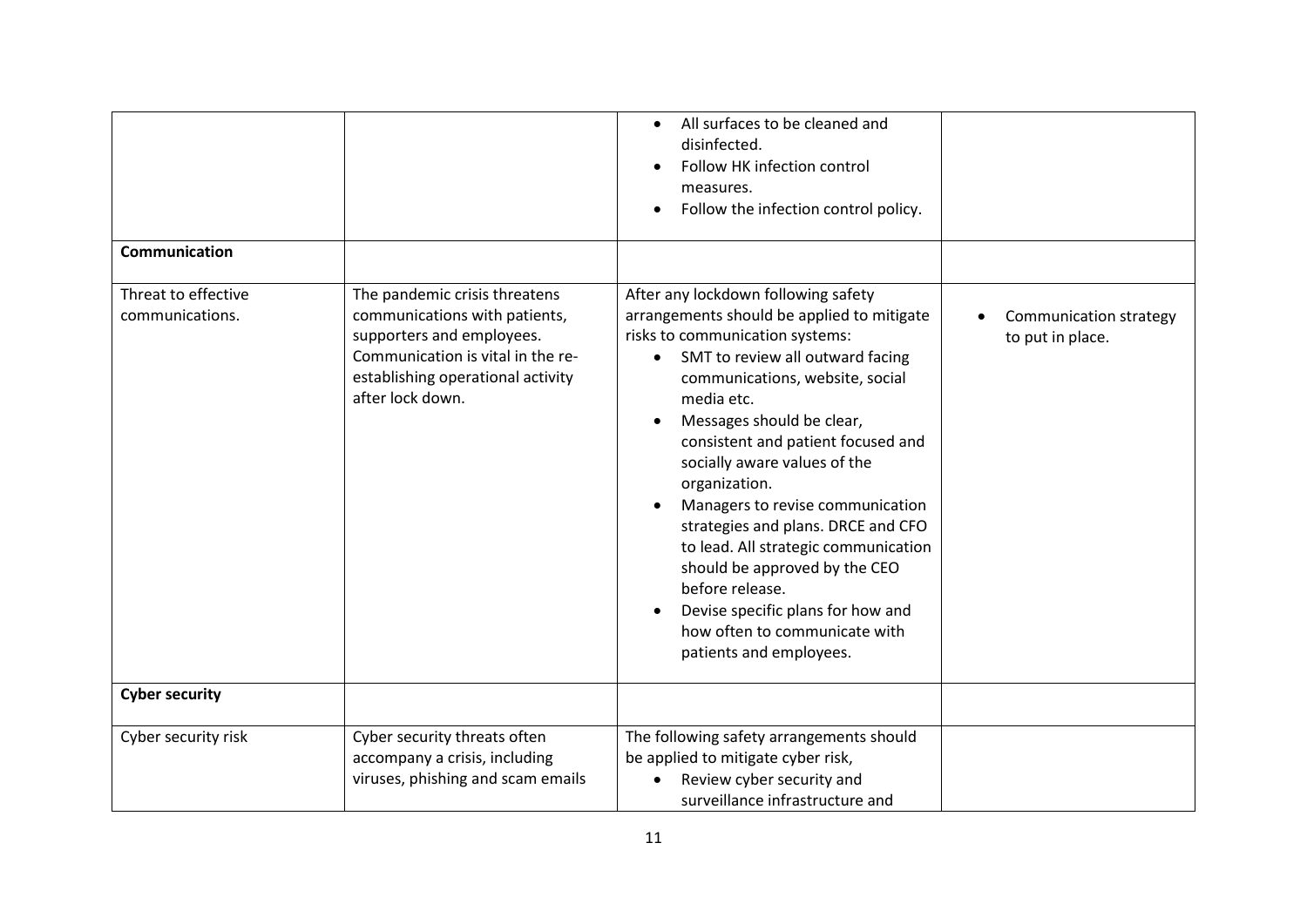|                                        |                                                                                                                                                                                           | All surfaces to be cleaned and<br>$\bullet$<br>disinfected.<br>Follow HK infection control<br>measures.<br>Follow the infection control policy.                                                                                                                                                                                                                                                                                                                                                                                                                                                                   |                                            |
|----------------------------------------|-------------------------------------------------------------------------------------------------------------------------------------------------------------------------------------------|-------------------------------------------------------------------------------------------------------------------------------------------------------------------------------------------------------------------------------------------------------------------------------------------------------------------------------------------------------------------------------------------------------------------------------------------------------------------------------------------------------------------------------------------------------------------------------------------------------------------|--------------------------------------------|
| Communication                          |                                                                                                                                                                                           |                                                                                                                                                                                                                                                                                                                                                                                                                                                                                                                                                                                                                   |                                            |
| Threat to effective<br>communications. | The pandemic crisis threatens<br>communications with patients,<br>supporters and employees.<br>Communication is vital in the re-<br>establishing operational activity<br>after lock down. | After any lockdown following safety<br>arrangements should be applied to mitigate<br>risks to communication systems:<br>SMT to review all outward facing<br>communications, website, social<br>media etc.<br>Messages should be clear,<br>$\bullet$<br>consistent and patient focused and<br>socially aware values of the<br>organization.<br>Managers to revise communication<br>strategies and plans. DRCE and CFO<br>to lead. All strategic communication<br>should be approved by the CEO<br>before release.<br>Devise specific plans for how and<br>how often to communicate with<br>patients and employees. | Communication strategy<br>to put in place. |
| <b>Cyber security</b>                  |                                                                                                                                                                                           |                                                                                                                                                                                                                                                                                                                                                                                                                                                                                                                                                                                                                   |                                            |
| Cyber security risk                    | Cyber security threats often<br>accompany a crisis, including<br>viruses, phishing and scam emails                                                                                        | The following safety arrangements should<br>be applied to mitigate cyber risk,<br>Review cyber security and<br>surveillance infrastructure and                                                                                                                                                                                                                                                                                                                                                                                                                                                                    |                                            |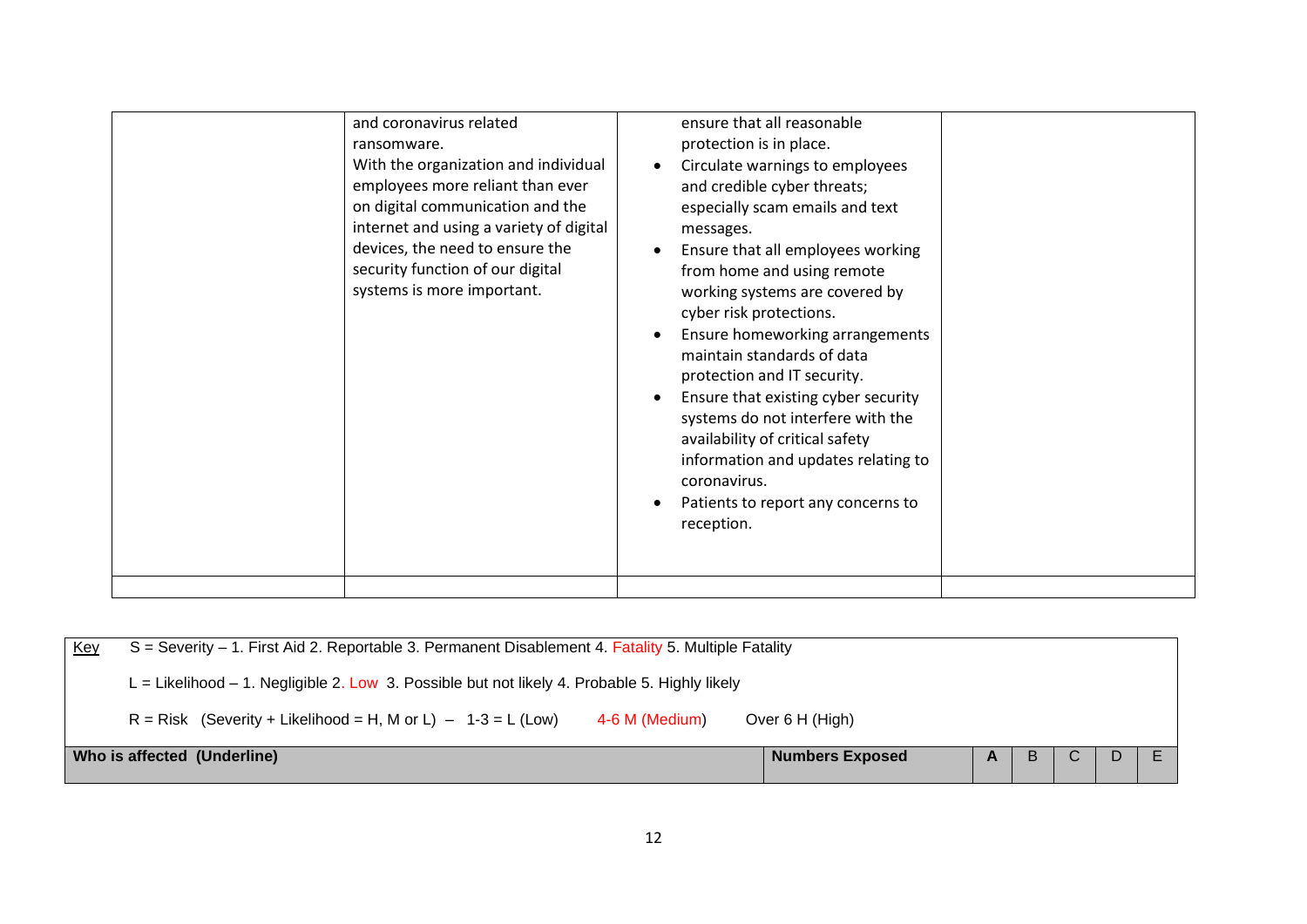| and coronavirus related<br>ransomware.<br>With the organization and individual<br>employees more reliant than ever<br>on digital communication and the<br>internet and using a variety of digital<br>devices, the need to ensure the<br>security function of our digital<br>systems is more important. | ensure that all reasonable<br>protection is in place.<br>Circulate warnings to employees<br>and credible cyber threats;<br>especially scam emails and text<br>messages.<br>Ensure that all employees working<br>from home and using remote<br>working systems are covered by<br>cyber risk protections.<br>Ensure homeworking arrangements<br>maintain standards of data<br>protection and IT security.<br>Ensure that existing cyber security<br>systems do not interfere with the<br>availability of critical safety<br>information and updates relating to<br>coronavirus.<br>Patients to report any concerns to<br>reception. |
|--------------------------------------------------------------------------------------------------------------------------------------------------------------------------------------------------------------------------------------------------------------------------------------------------------|-----------------------------------------------------------------------------------------------------------------------------------------------------------------------------------------------------------------------------------------------------------------------------------------------------------------------------------------------------------------------------------------------------------------------------------------------------------------------------------------------------------------------------------------------------------------------------------------------------------------------------------|
|                                                                                                                                                                                                                                                                                                        |                                                                                                                                                                                                                                                                                                                                                                                                                                                                                                                                                                                                                                   |

| Key                         | $S =$ Severity $-1$ . First Aid 2. Reportable 3. Permanent Disablement 4. Fatality 5. Multiple Fatality |                        |          |   |  |  |  |  |  |
|-----------------------------|---------------------------------------------------------------------------------------------------------|------------------------|----------|---|--|--|--|--|--|
|                             | $L =$ Likelihood $-1$ . Negligible 2. Low 3. Possible but not likely 4. Probable 5. Highly likely       |                        |          |   |  |  |  |  |  |
|                             | $R = Risk$ (Severity + Likelihood = H, M or L) - 1-3 = L (Low)<br>4-6 M (Medium)                        | Over 6 H (High)        |          |   |  |  |  |  |  |
| Who is affected (Underline) |                                                                                                         | <b>Numbers Exposed</b> | <b>A</b> | B |  |  |  |  |  |